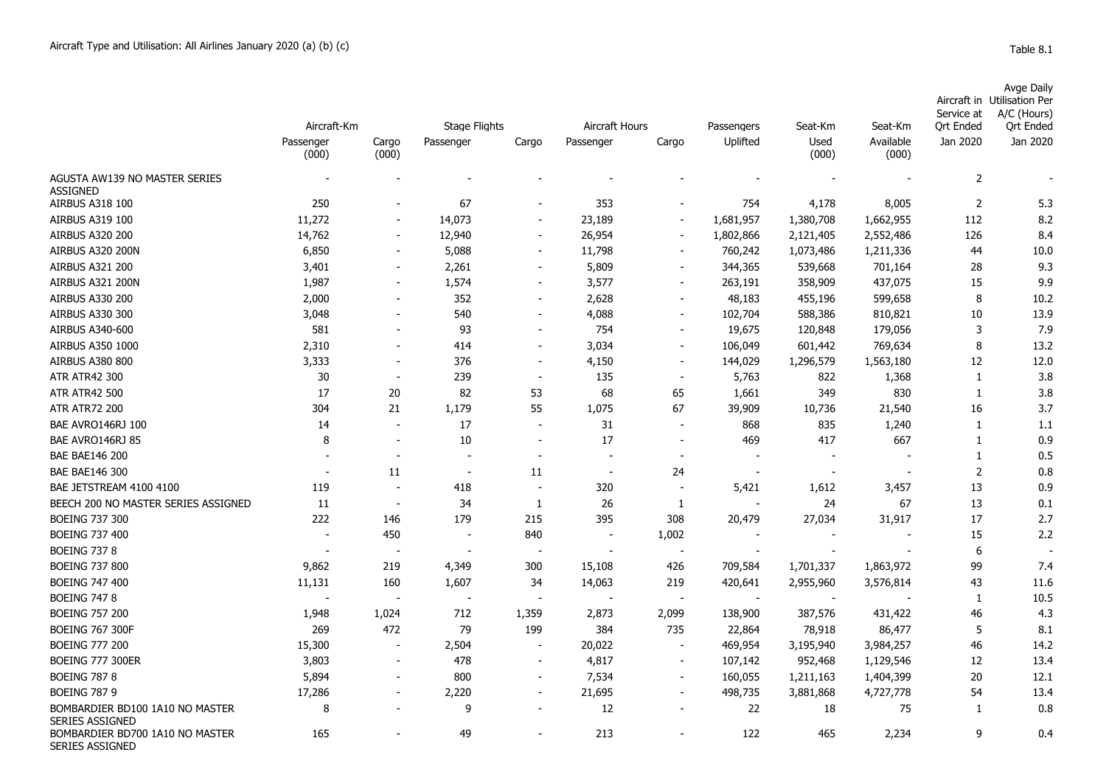## Aircraft in Service at Avge Daily Utilisation Per A/C (Hours)

|                                                           | Aircraft-Km        |                          | <b>Stage Flights</b>     |                          | Aircraft Hours |                          | Passengers | Seat-Km       | Seat-Km            | SEI VILE AL<br><b>Qrt Ended</b> | $A/C$ (Figure)<br><b>Qrt Ended</b> |
|-----------------------------------------------------------|--------------------|--------------------------|--------------------------|--------------------------|----------------|--------------------------|------------|---------------|--------------------|---------------------------------|------------------------------------|
|                                                           | Passenger<br>(000) | Cargo<br>(000)           | Passenger                | Cargo                    | Passenger      | Cargo                    | Uplifted   | Used<br>(000) | Available<br>(000) | Jan 2020                        | Jan 2020                           |
| AGUSTA AW139 NO MASTER SERIES<br><b>ASSIGNED</b>          |                    |                          |                          |                          |                |                          |            |               |                    | $\overline{2}$                  |                                    |
| AIRBUS A318 100                                           | 250                |                          | 67                       | ۰                        | 353            | $\blacksquare$           | 754        | 4,178         | 8,005              | $\overline{2}$                  | 5.3                                |
| AIRBUS A319 100                                           | 11,272             | $\blacksquare$           | 14,073                   | $\overline{\phantom{a}}$ | 23,189         | $\overline{\phantom{a}}$ | 1,681,957  | 1,380,708     | 1,662,955          | 112                             | 8.2                                |
| <b>AIRBUS A320 200</b>                                    | 14,762             |                          | 12,940                   | $\overline{a}$           | 26,954         | $\sim$                   | 1,802,866  | 2,121,405     | 2,552,486          | 126                             | 8.4                                |
| AIRBUS A320 200N                                          | 6,850              |                          | 5,088                    | $\overline{\phantom{a}}$ | 11,798         | $\blacksquare$           | 760,242    | 1,073,486     | 1,211,336          | 44                              | 10.0                               |
| AIRBUS A321 200                                           | 3,401              | $\blacksquare$           | 2,261                    | $\overline{\phantom{a}}$ | 5,809          | $\blacksquare$           | 344,365    | 539,668       | 701,164            | 28                              | 9.3                                |
| AIRBUS A321 200N                                          | 1,987              | $\overline{\phantom{a}}$ | 1,574                    | $\sim$                   | 3,577          | $\overline{\phantom{a}}$ | 263,191    | 358,909       | 437,075            | 15                              | 9.9                                |
| AIRBUS A330 200                                           | 2,000              |                          | 352                      | $\overline{\phantom{a}}$ | 2,628          | $\blacksquare$           | 48,183     | 455,196       | 599,658            | 8                               | 10.2                               |
| <b>AIRBUS A330 300</b>                                    | 3,048              |                          | 540                      | $\blacksquare$           | 4,088          | $\overline{\phantom{a}}$ | 102,704    | 588,386       | 810,821            | 10                              | 13.9                               |
| AIRBUS A340-600                                           | 581                |                          | 93                       | $\overline{\phantom{a}}$ | 754            | $\blacksquare$           | 19,675     | 120,848       | 179,056            | 3                               | 7.9                                |
| <b>AIRBUS A350 1000</b>                                   | 2,310              |                          | 414                      | $\blacksquare$           | 3,034          | $\blacksquare$           | 106,049    | 601,442       | 769,634            | 8                               | 13.2                               |
| <b>AIRBUS A380 800</b>                                    | 3,333              |                          | 376                      | $\overline{\phantom{a}}$ | 4,150          | $\overline{\phantom{a}}$ | 144,029    | 1,296,579     | 1,563,180          | 12                              | 12.0                               |
| <b>ATR ATR42 300</b>                                      | 30                 | $\overline{\phantom{a}}$ | 239                      | $\overline{\phantom{a}}$ | 135            | $\overline{\phantom{a}}$ | 5,763      | 822           | 1,368              | $1\,$                           | 3.8                                |
| <b>ATR ATR42 500</b>                                      | 17                 | 20                       | 82                       | 53                       | 68             | 65                       | 1,661      | 349           | 830                | $\mathbf{1}$                    | 3.8                                |
| <b>ATR ATR72 200</b>                                      | 304                | 21                       | 1,179                    | 55                       | 1,075          | 67                       | 39,909     | 10,736        | 21,540             | 16                              | 3.7                                |
| BAE AVRO146RJ 100                                         | 14                 | $\overline{\phantom{a}}$ | 17                       | $\overline{\phantom{a}}$ | 31             | $\sim$                   | 868        | 835           | 1,240              | 1                               | 1.1                                |
| BAE AVRO146RJ 85                                          | 8                  | $\overline{\phantom{a}}$ | 10                       | $\overline{\phantom{a}}$ | 17             | $\overline{\phantom{a}}$ | 469        | 417           | 667                | $\mathbf{1}$                    | 0.9                                |
| <b>BAE BAE146 200</b>                                     |                    |                          |                          |                          |                |                          |            |               |                    | $\mathbf{1}$                    | 0.5                                |
| <b>BAE BAE146 300</b>                                     |                    | 11                       | $\overline{\phantom{a}}$ | 11                       |                | 24                       |            |               |                    | $\overline{2}$                  | 0.8                                |
| BAE JETSTREAM 4100 4100                                   | 119                | $\overline{\phantom{a}}$ | 418                      | $\blacksquare$           | 320            | $\sim$                   | 5,421      | 1,612         | 3,457              | 13                              | 0.9                                |
| BEECH 200 NO MASTER SERIES ASSIGNED                       | 11                 | $\overline{\phantom{a}}$ | 34                       | 1                        | 26             | 1                        |            | 24            | 67                 | 13                              | 0.1                                |
| <b>BOEING 737 300</b>                                     | 222                | 146                      | 179                      | 215                      | 395            | 308                      | 20,479     | 27,034        | 31,917             | 17                              | 2.7                                |
| <b>BOEING 737 400</b>                                     | $\blacksquare$     | 450                      | $\blacksquare$           | 840                      | $\blacksquare$ | 1,002                    |            |               |                    | 15                              | 2.2                                |
| <b>BOEING 737 8</b>                                       |                    |                          |                          |                          |                | $\overline{\phantom{a}}$ |            |               |                    | 6                               |                                    |
| <b>BOEING 737 800</b>                                     | 9,862              | 219                      | 4,349                    | 300                      | 15,108         | 426                      | 709,584    | 1,701,337     | 1,863,972          | 99                              | 7.4                                |
| <b>BOEING 747 400</b>                                     | 11,131             | 160                      | 1,607                    | 34                       | 14,063         | 219                      | 420,641    | 2,955,960     | 3,576,814          | 43                              | 11.6                               |
| <b>BOEING 747 8</b>                                       |                    | $\overline{\phantom{a}}$ | $\overline{\phantom{a}}$ | $\blacksquare$           |                | $\overline{\phantom{a}}$ |            |               |                    | 1                               | 10.5                               |
| <b>BOEING 757 200</b>                                     | 1,948              | 1,024                    | 712                      | 1,359                    | 2,873          | 2,099                    | 138,900    | 387,576       | 431,422            | 46                              | 4.3                                |
| <b>BOEING 767 300F</b>                                    | 269                | 472                      | 79                       | 199                      | 384            | 735                      | 22,864     | 78,918        | 86,477             | 5                               | 8.1                                |
| <b>BOEING 777 200</b>                                     | 15,300             | $\overline{\phantom{a}}$ | 2,504                    | $\sim$                   | 20,022         | $\overline{\phantom{a}}$ | 469,954    | 3,195,940     | 3,984,257          | 46                              | 14.2                               |
| <b>BOEING 777 300ER</b>                                   | 3,803              |                          | 478                      | $\overline{\phantom{a}}$ | 4,817          | $\blacksquare$           | 107,142    | 952,468       | 1,129,546          | 12                              | 13.4                               |
| <b>BOEING 787 8</b>                                       | 5,894              |                          | 800                      | $\overline{\phantom{a}}$ | 7,534          | $\overline{\phantom{m}}$ | 160,055    | 1,211,163     | 1,404,399          | 20                              | 12.1                               |
| <b>BOEING 787 9</b>                                       | 17,286             | $\overline{\phantom{a}}$ | 2,220                    | $\overline{\phantom{a}}$ | 21,695         | $\blacksquare$           | 498,735    | 3,881,868     | 4,727,778          | 54                              | 13.4                               |
| BOMBARDIER BD100 1A10 NO MASTER<br>SERIES ASSIGNED        | 8                  |                          | 9                        | $\blacksquare$           | 12             |                          | 22         | 18            | 75                 | 1                               | 0.8                                |
| BOMBARDIER BD700 1A10 NO MASTER<br><b>SERIES ASSIGNED</b> | 165                |                          | 49                       |                          | 213            | $\blacksquare$           | 122        | 465           | 2,234              | 9                               | 0.4                                |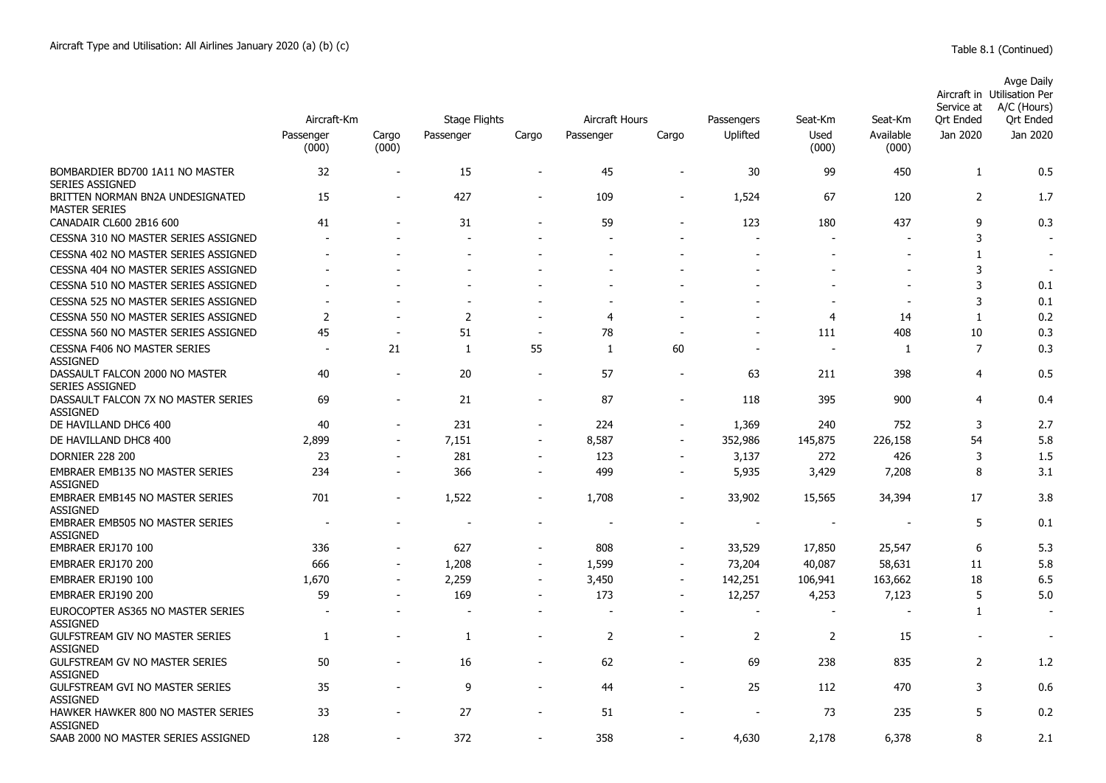|                                                                                  | Aircraft-Km              |                          | <b>Stage Flights</b> |                          | Aircraft Hours           |                          | Passengers               | Seat-Km       | Seat-Km            | Service at<br><b>Ort Ended</b> | Avge Daily<br>Aircraft in Utilisation Per<br>A/C (Hours)<br>Ort Ended |
|----------------------------------------------------------------------------------|--------------------------|--------------------------|----------------------|--------------------------|--------------------------|--------------------------|--------------------------|---------------|--------------------|--------------------------------|-----------------------------------------------------------------------|
|                                                                                  | Passenger<br>(000)       | Cargo<br>(000)           | Passenger            | Cargo                    | Passenger                | Cargo                    | Uplifted                 | Used<br>(000) | Available<br>(000) | Jan 2020                       | Jan 2020                                                              |
| BOMBARDIER BD700 1A11 NO MASTER<br><b>SERIES ASSIGNED</b>                        | 32                       | $\blacksquare$           | 15                   | $\blacksquare$           | 45                       | $\blacksquare$           | 30                       | 99            | 450                | 1                              | 0.5                                                                   |
| BRITTEN NORMAN BN2A UNDESIGNATED<br><b>MASTER SERIES</b>                         | 15                       | $\sim$                   | 427                  | $\overline{\phantom{a}}$ | 109                      | $\sim$                   | 1,524                    | 67            | 120                | $\overline{2}$                 | 1.7                                                                   |
| CANADAIR CL600 2B16 600                                                          | 41                       |                          | 31                   |                          | 59                       |                          | 123                      | 180           | 437                | 9                              | 0.3                                                                   |
| CESSNA 310 NO MASTER SERIES ASSIGNED                                             |                          |                          |                      |                          |                          |                          | ÷                        |               |                    | 3                              |                                                                       |
| CESSNA 402 NO MASTER SERIES ASSIGNED                                             |                          |                          |                      |                          |                          |                          |                          |               |                    | 1                              |                                                                       |
| CESSNA 404 NO MASTER SERIES ASSIGNED                                             |                          |                          |                      |                          |                          |                          |                          |               |                    | 3                              |                                                                       |
| CESSNA 510 NO MASTER SERIES ASSIGNED                                             |                          |                          |                      |                          |                          |                          |                          |               |                    | 3                              | 0.1                                                                   |
| CESSNA 525 NO MASTER SERIES ASSIGNED                                             |                          |                          |                      |                          |                          |                          |                          |               |                    | 3                              | 0.1                                                                   |
| CESSNA 550 NO MASTER SERIES ASSIGNED                                             | $\overline{2}$           |                          | $\overline{2}$       |                          | 4                        |                          |                          | 4             | 14                 | 1                              | 0.2                                                                   |
| CESSNA 560 NO MASTER SERIES ASSIGNED                                             | 45                       | $\overline{a}$           | 51                   | $\overline{a}$           | 78                       |                          |                          | 111           | 408                | 10                             | 0.3                                                                   |
| <b>CESSNA F406 NO MASTER SERIES</b>                                              | $\overline{\phantom{a}}$ | 21                       | $\mathbf{1}$         | 55                       | 1                        | 60                       | $\overline{\phantom{a}}$ | $\sim$        | 1                  | $\overline{7}$                 | 0.3                                                                   |
| <b>ASSIGNED</b><br>DASSAULT FALCON 2000 NO MASTER                                | 40                       | ÷,                       | 20                   | $\overline{\phantom{a}}$ | 57                       | $\overline{\phantom{a}}$ | 63                       | 211           | 398                | 4                              | 0.5                                                                   |
| <b>SERIES ASSIGNED</b><br>DASSAULT FALCON 7X NO MASTER SERIES<br><b>ASSIGNED</b> | 69                       | $\overline{a}$           | 21                   | $\overline{\phantom{a}}$ | 87                       | $\overline{\phantom{0}}$ | 118                      | 395           | 900                | $\overline{4}$                 | 0.4                                                                   |
| DE HAVILLAND DHC6 400                                                            | 40                       |                          | 231                  |                          | 224                      |                          | 1,369                    | 240           | 752                | 3                              | 2.7                                                                   |
| DE HAVILLAND DHC8 400                                                            | 2,899                    |                          | 7,151                | $\overline{\phantom{a}}$ | 8,587                    |                          | 352,986                  | 145,875       | 226,158            | 54                             | 5.8                                                                   |
| <b>DORNIER 228 200</b>                                                           | 23                       | $\blacksquare$           | 281                  | $\blacksquare$           | 123                      | $\blacksquare$           | 3,137                    | 272           | 426                | 3                              | 1.5                                                                   |
| EMBRAER EMB135 NO MASTER SERIES<br><b>ASSIGNED</b>                               | 234                      | $\overline{\phantom{a}}$ | 366                  | $\overline{\phantom{a}}$ | 499                      | $\blacksquare$           | 5,935                    | 3,429         | 7,208              | 8                              | 3.1                                                                   |
| <b>EMBRAER EMB145 NO MASTER SERIES</b><br><b>ASSIGNED</b>                        | 701                      | $\overline{\phantom{0}}$ | 1,522                | $\overline{\phantom{a}}$ | 1,708                    |                          | 33,902                   | 15,565        | 34,394             | 17                             | 3.8                                                                   |
| <b>EMBRAER EMB505 NO MASTER SERIES</b><br><b>ASSIGNED</b>                        |                          |                          |                      |                          |                          |                          |                          |               |                    | 5                              | 0.1                                                                   |
| EMBRAER ERJ170 100                                                               | 336                      |                          | 627                  | ۰                        | 808                      |                          | 33,529                   | 17,850        | 25,547             | 6                              | 5.3                                                                   |
| EMBRAER ERJ170 200                                                               | 666                      | $\overline{a}$           | 1,208                | $\overline{\phantom{a}}$ | 1,599                    |                          | 73,204                   | 40,087        | 58,631             | 11                             | 5.8                                                                   |
| EMBRAER ERJ190 100                                                               | 1,670                    | $\blacksquare$           | 2,259                | $\overline{\phantom{a}}$ | 3,450                    | $\blacksquare$           | 142,251                  | 106,941       | 163,662            | 18                             | 6.5                                                                   |
| EMBRAER ERJ190 200                                                               | 59                       | $\overline{a}$           | 169                  | $\blacksquare$           | 173                      | $\overline{a}$           | 12,257                   | 4,253         | 7,123              | 5                              | 5.0                                                                   |
| EUROCOPTER AS365 NO MASTER SERIES<br><b>ASSIGNED</b>                             | $\overline{\phantom{a}}$ |                          | $\blacksquare$       |                          | $\overline{\phantom{a}}$ |                          | $\sim$                   |               |                    | 1                              | $\overline{\phantom{a}}$                                              |
| <b>GULFSTREAM GIV NO MASTER SERIES</b><br><b>ASSIGNED</b>                        | 1                        |                          | 1                    | $\blacksquare$           | $\overline{2}$           | $\overline{\phantom{0}}$ | $\overline{2}$           | 2             | 15                 | ٠                              | $\overline{\phantom{a}}$                                              |
| <b>GULFSTREAM GV NO MASTER SERIES</b><br><b>ASSIGNED</b>                         | 50                       |                          | 16                   | $\overline{a}$           | 62                       | $\overline{a}$           | 69                       | 238           | 835                | $\overline{2}$                 | 1.2                                                                   |
| GULFSTREAM GVI NO MASTER SERIES<br><b>ASSIGNED</b>                               | 35                       |                          | 9                    | $\blacksquare$           | 44                       | ٠                        | 25                       | 112           | 470                | 3                              | 0.6                                                                   |
| HAWKER HAWKER 800 NO MASTER SERIES<br><b>ASSIGNED</b>                            | 33                       |                          | 27                   |                          | 51                       |                          |                          | 73            | 235                | 5                              | 0.2                                                                   |
| SAAB 2000 NO MASTER SERIES ASSIGNED                                              | 128                      |                          | 372                  |                          | 358                      |                          | 4,630                    | 2,178         | 6.378              | 8                              | 2.1                                                                   |